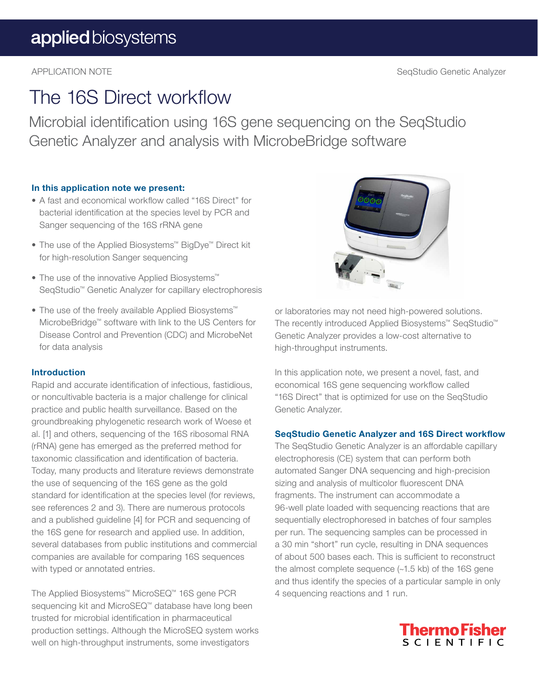## The 16S Direct workflow

Microbial identification using 16S gene sequencing on the SeqStudio Genetic Analyzer and analysis with MicrobeBridge software

#### In this application note we present:

- A fast and economical workflow called "16S Direct" for bacterial identification at the species level by PCR and Sanger sequencing of the 16S rRNA gene
- The use of the Applied Biosystems™ BigDye™ Direct kit for high-resolution Sanger sequencing
- The use of the innovative Applied Biosystems™ SeqStudio™ Genetic Analyzer for capillary electrophoresis
- The use of the freely available Applied Biosystems™ MicrobeBridge™ software with link to the US Centers for Disease Control and Prevention (CDC) and MicrobeNet for data analysis

#### Introduction

Rapid and accurate identification of infectious, fastidious, or noncultivable bacteria is a major challenge for clinical practice and public health surveillance. Based on the groundbreaking phylogenetic research work of Woese et al. [1] and others, sequencing of the 16S ribosomal RNA (rRNA) gene has emerged as the preferred method for taxonomic classification and identification of bacteria. Today, many products and literature reviews demonstrate the use of sequencing of the 16S gene as the gold standard for identification at the species level (for reviews, see references 2 and 3). There are numerous protocols and a published guideline [4] for PCR and sequencing of the 16S gene for research and applied use. In addition, several databases from public institutions and commercial companies are available for comparing 16S sequences with typed or annotated entries.

The Applied Biosystems™ MicroSEQ™ 16S gene PCR sequencing kit and MicroSEQ™ database have long been trusted for microbial identification in pharmaceutical production settings. Although the MicroSEQ system works well on high-throughput instruments, some investigators



or laboratories may not need high-powered solutions. The recently introduced Applied Biosystems™ SeqStudio™ Genetic Analyzer provides a low-cost alternative to high-throughput instruments.

In this application note, we present a novel, fast, and economical 16S gene sequencing workflow called "16S Direct" that is optimized for use on the SeqStudio Genetic Analyzer.

#### SeqStudio Genetic Analyzer and 16S Direct workflow

The SeqStudio Genetic Analyzer is an affordable capillary electrophoresis (CE) system that can perform both automated Sanger DNA sequencing and high-precision sizing and analysis of multicolor fluorescent DNA fragments. The instrument can accommodate a 96-well plate loaded with sequencing reactions that are sequentially electrophoresed in batches of four samples per run. The sequencing samples can be processed in a 30 min "short" run cycle, resulting in DNA sequences of about 500 bases each. This is sufficient to reconstruct the almost complete sequence (~1.5 kb) of the 16S gene and thus identify the species of a particular sample in only 4 sequencing reactions and 1 run.

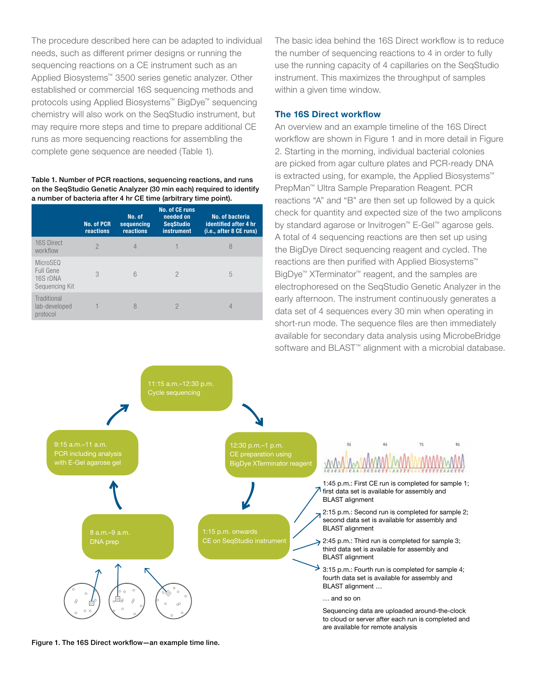The procedure described here can be adapted to individual needs, such as different primer designs or running the sequencing reactions on a CE instrument such as an Applied Biosystems™ 3500 series genetic analyzer. Other established or commercial 16S sequencing methods and protocols using Applied Biosystems™ BigDye™ sequencing chemistry will also work on the SeqStudio instrument, but may require more steps and time to prepare additional CE runs as more sequencing reactions for assembling the complete gene sequence are needed (Table 1).

#### Table 1. Number of PCR reactions, sequencing reactions, and runs on the SeqStudio Genetic Analyzer (30 min each) required to identify a number of bacteria after 4 hr CE time (arbitrary time point).

|                                                     | <b>No. of PCR</b><br>reactions | No. of<br>sequencing<br>reactions | <b>No. of CE runs</b><br>needed on<br><b>SegStudio</b><br><b>instrument</b> | No. of bacteria<br>identified after 4 hr<br>(i.e., after 8 CE runs) |
|-----------------------------------------------------|--------------------------------|-----------------------------------|-----------------------------------------------------------------------------|---------------------------------------------------------------------|
| 16S Direct<br>workflow                              | $\mathcal{P}$                  | 4                                 |                                                                             | 8                                                                   |
| MicroSEQ<br>Full Gene<br>16S rDNA<br>Sequencing Kit | 3                              | 6                                 | $\mathcal{P}$                                                               | 5                                                                   |
| Traditional<br>lab-developed<br>protocol            |                                | 8                                 | $\mathcal{P}$                                                               | 4                                                                   |

The basic idea behind the 16S Direct workflow is to reduce the number of sequencing reactions to 4 in order to fully use the running capacity of 4 capillaries on the SeqStudio instrument. This maximizes the throughput of samples within a given time window.

#### The 16S Direct workflow

An overview and an example timeline of the 16S Direct workflow are shown in Figure 1 and in more detail in Figure 2. Starting in the morning, individual bacterial colonies are picked from agar culture plates and PCR-ready DNA is extracted using, for example, the Applied Biosystems™ PrepMan™ Ultra Sample Preparation Reagent. PCR reactions "A" and "B" are then set up followed by a quick check for quantity and expected size of the two amplicons by standard agarose or Invitrogen™ E-Gel™ agarose gels. A total of 4 sequencing reactions are then set up using the BigDye Direct sequencing reagent and cycled. The reactions are then purified with Applied Biosystems™ BigDye™ XTerminator™ reagent, and the samples are electrophoresed on the SeqStudio Genetic Analyzer in the early afternoon. The instrument continuously generates a data set of 4 sequences every 30 min when operating in short-run mode. The sequence files are then immediately available for secondary data analysis using MicrobeBridge software and BLAST<sup>™</sup> alignment with a microbial database.



Figure 1. The 16S Direct workflow—an example time line.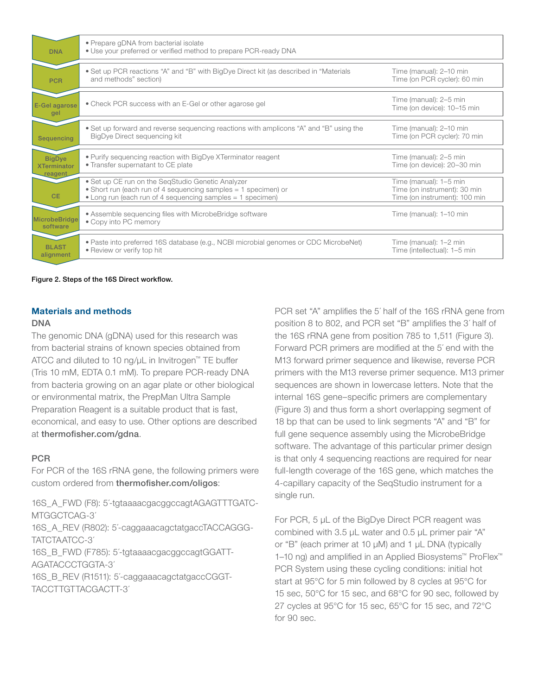| <b>DNA</b>                                            | • Prepare gDNA from bacterial isolate<br>• Use your preferred or verified method to prepare PCR-ready DNA                                                                         |                                                                                         |
|-------------------------------------------------------|-----------------------------------------------------------------------------------------------------------------------------------------------------------------------------------|-----------------------------------------------------------------------------------------|
| <b>PCR</b>                                            | • Set up PCR reactions "A" and "B" with BigDye Direct kit (as described in "Materials"<br>and methods" section)                                                                   | Time (manual): 2-10 min<br>Time (on PCR cycler): 60 min                                 |
| E-Gel agarose<br>gel                                  | • Check PCR success with an E-Gel or other agarose gel                                                                                                                            | Time (manual): 2-5 min<br>Time (on device): 10-15 min                                   |
| Sequencing                                            | . Set up forward and reverse sequencing reactions with amplicons "A" and "B" using the<br>BigDye Direct sequencing kit                                                            | Time (manual): 2-10 min<br>Time (on PCR cycler): 70 min                                 |
| <b>BigDye</b><br><b>XTerminator</b><br><u>reagent</u> | • Purify sequencing reaction with BigDye XTerminator reagent<br>• Transfer supernatant to CE plate                                                                                | Time (manual): 2-5 min<br>Time (on device): 20-30 min                                   |
| <b>CE</b>                                             | • Set up CE run on the SeqStudio Genetic Analyzer<br>• Short run (each run of 4 sequencing samples = 1 specimen) or<br>• Long run (each run of 4 sequencing samples = 1 specimen) | Time (manual): 1-5 min<br>Time (on instrument): 30 min<br>Time (on instrument): 100 min |
| <b>MicrobeBridge</b><br>software                      | • Assemble sequencing files with Microbe Bridge software<br>• Copy into PC memory                                                                                                 | Time (manual): 1-10 min                                                                 |
| <b>BI AST</b><br>alignment                            | • Paste into preferred 16S database (e.g., NCBI microbial genomes or CDC MicrobeNet)<br>• Review or verify top hit                                                                | Time (manual): 1-2 min<br>Time (intellectual): 1-5 min                                  |

Figure 2. Steps of the 16S Direct workflow.

#### Materials and methods

#### DNA

The genomic DNA (gDNA) used for this research was from bacterial strains of known species obtained from ATCC and diluted to 10 ng/μL in Invitrogen™ TE buffer (Tris 10 mM, EDTA 0.1 mM). To prepare PCR-ready DNA from bacteria growing on an agar plate or other biological or environmental matrix, the PrepMan Ultra Sample Preparation Reagent is a suitable product that is fast, economical, and easy to use. Other options are described at [thermofisher.com/gdna](http://thermofisher.com/gdna).

#### **PCR**

For PCR of the 16S rRNA gene, the following primers were custom ordered from [thermofisher.com/oligos](http://thermofisher.com/oligos):

16S\_A\_FWD (F8): 5�-tgtaaaacgacggccagtAGAGTTTGATC-MTGGCTCAG-3' 16S\_A\_REV (R802): 5'-caggaaacagctatgaccTACCAGGG-

TATCTAATCC-3� 16S\_B\_FWD (F785): 5�-tgtaaaacgacggccagtGGATT-AGATACCCTGGTA-3�

16S\_B\_REV (R1511): 5'-caggaaacagctatgaccCGGT-TACCTTGTTACGACTT-3�

PCR set "A" amplifies the 5' half of the 16S rRNA gene from position 8 to 802, and PCR set "B" amplifies the 3' half of the 16S rRNA gene from position 785 to 1,511 (Figure 3). Forward PCR primers are modified at the 5' end with the M13 forward primer sequence and likewise, reverse PCR primers with the M13 reverse primer sequence. M13 primer sequences are shown in lowercase letters. Note that the internal 16S gene–specific primers are complementary (Figure 3) and thus form a short overlapping segment of 18 bp that can be used to link segments "A" and "B" for full gene sequence assembly using the MicrobeBridge software. The advantage of this particular primer design is that only 4 sequencing reactions are required for near full-length coverage of the 16S gene, which matches the 4-capillary capacity of the SeqStudio instrument for a single run.

For PCR, 5 μL of the BigDye Direct PCR reagent was combined with 3.5 μL water and 0.5 μL primer pair "A" or "B" (each primer at 10 μM) and 1 μL DNA (typically 1–10 ng) and amplified in an Applied Biosystems™ ProFlex™ PCR System using these cycling conditions: initial hot start at 95°C for 5 min followed by 8 cycles at 95°C for 15 sec, 50°C for 15 sec, and 68°C for 90 sec, followed by 27 cycles at 95°C for 15 sec, 65°C for 15 sec, and 72°C for 90 sec.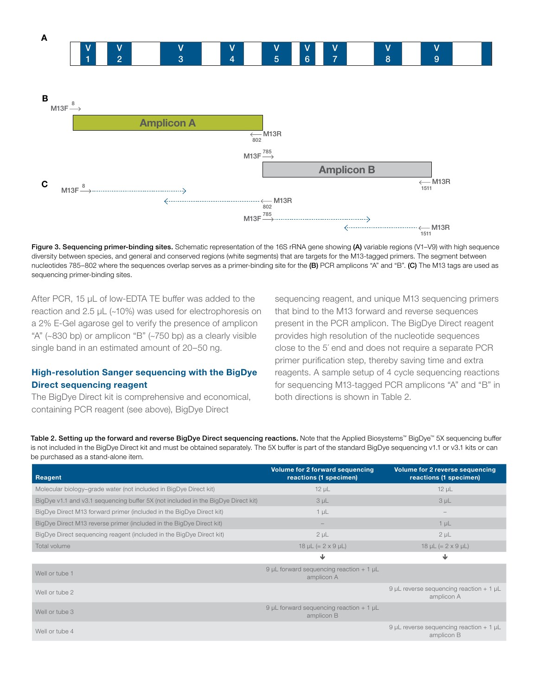

Figure 3. Sequencing primer-binding sites. Schematic representation of the 16S rRNA gene showing (A) variable regions (V1-V9) with high sequence diversity between species, and general and conserved regions (white segments) that are targets for the M13-tagged primers. The segment between nucleotides 785-802 where the sequences overlap serves as a primer-binding site for the (B) PCR amplicons "A" and "B". (C) The M13 tags are used as sequencing primer-binding sites.

After PCR, 15 μL of low-EDTA TE buffer was added to the reaction and 2.5 μL (~10%) was used for electrophoresis on a 2% E-Gel agarose gel to verify the presence of amplicon "A" (~830 bp) or amplicon "B" (~750 bp) as a clearly visible single band in an estimated amount of 20–50 ng.

#### High-resolution Sanger sequencing with the BigDye Direct sequencing reagent

The BigDye Direct kit is comprehensive and economical, containing PCR reagent (see above), BigDye Direct

sequencing reagent, and unique M13 sequencing primers that bind to the M13 forward and reverse sequences present in the PCR amplicon. The BigDye Direct reagent provides high resolution of the nucleotide sequences close to the 5' end and does not require a separate PCR primer purification step, thereby saving time and extra reagents. A sample setup of 4 cycle sequencing reactions for sequencing M13-tagged PCR amplicons "A" and "B" in both directions is shown in Table 2.

Table 2. Setting up the forward and reverse BigDye Direct sequencing reactions. Note that the Applied Biosystems™ BigDye™ 5X sequencing buffer is not included in the BigDye Direct kit and must be obtained separately. The 5X buffer is part of the standard BigDye sequencing v1.1 or v3.1 kits or can be purchased as a stand-alone item.

| <b>Reagent</b>                                                                    | <b>Volume for 2 forward sequencing</b><br>reactions (1 specimen) | <b>Volume for 2 reverse sequencing</b><br>reactions (1 specimen) |
|-----------------------------------------------------------------------------------|------------------------------------------------------------------|------------------------------------------------------------------|
| Molecular biology-grade water (not included in BigDye Direct kit)                 | $12 \mu L$                                                       | $12 \mu L$                                                       |
| BigDye v1.1 and v3.1 sequencing buffer 5X (not included in the BigDye Direct kit) | 3 <sub>µ</sub>                                                   | 3 <sub>µL</sub>                                                  |
| BigDye Direct M13 forward primer (included in the BigDye Direct kit)              | $1 \mu L$                                                        |                                                                  |
| BigDye Direct M13 reverse primer (included in the BigDye Direct kit)              | $\qquad \qquad -$                                                | $1 \mu L$                                                        |
| BigDye Direct sequencing reagent (included in the BigDye Direct kit)              | $2 \mu L$                                                        | $2 \mu L$                                                        |
| Total volume                                                                      | $18 \mu L (= 2 \times 9 \mu L)$                                  | $18 \mu L (= 2 \times 9 \mu L)$                                  |
|                                                                                   | ↓                                                                | ↓                                                                |
| Well or tube 1                                                                    | 9 µL forward sequencing reaction $+1$ µL<br>amplicon A           |                                                                  |
| Well or tube 2                                                                    |                                                                  | 9 µL reverse sequencing reaction $+1$ µL<br>amplicon A           |
| Well or tube 3                                                                    | 9 µL forward sequencing reaction $+1$ µL<br>amplicon B           |                                                                  |
| Well or tube 4                                                                    |                                                                  | 9 µL reverse sequencing reaction $+1$ µL<br>amplicon B           |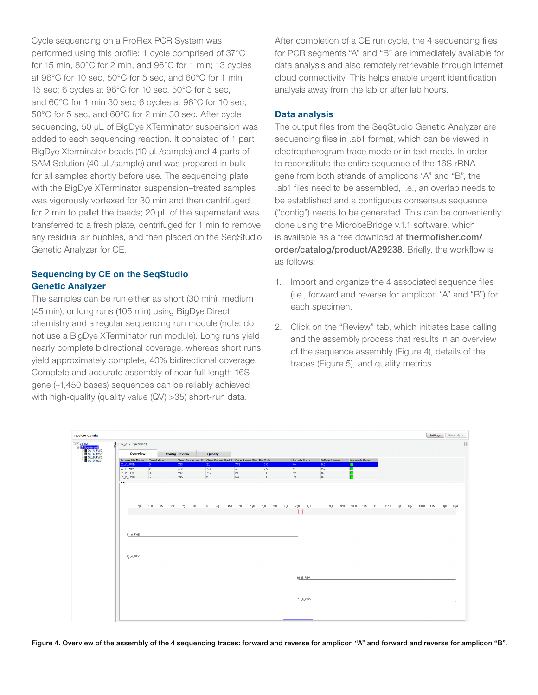Cycle sequencing on a ProFlex PCR System was performed using this profile: 1 cycle comprised of 37°C for 15 min, 80°C for 2 min, and 96°C for 1 min; 13 cycles at 96°C for 10 sec, 50°C for 5 sec, and 60°C for 1 min 15 sec; 6 cycles at 96°C for 10 sec, 50°C for 5 sec, and 60°C for 1 min 30 sec; 6 cycles at 96°C for 10 sec, 50°C for 5 sec, and 60°C for 2 min 30 sec. After cycle sequencing, 50 μL of BigDye XTerminator suspension was added to each sequencing reaction. It consisted of 1 part BigDye Xterminator beads (10 µL/sample) and 4 parts of SAM Solution (40 μL/sample) and was prepared in bulk for all samples shortly before use. The sequencing plate with the BigDye XTerminator suspension–treated samples was vigorously vortexed for 30 min and then centrifuged for 2 min to pellet the beads; 20 μL of the supernatant was transferred to a fresh plate, centrifuged for 1 min to remove any residual air bubbles, and then placed on the SeqStudio Genetic Analyzer for CE.

#### Sequencing by CE on the SeqStudio Genetic Analyzer

The samples can be run either as short (30 min), medium (45 min), or long runs (105 min) using BigDye Direct chemistry and a regular sequencing run module (note: do not use a BigDye XTerminator run module). Long runs yield nearly complete bidirectional coverage, whereas short runs yield approximately complete, 40% bidirectional coverage. Complete and accurate assembly of near full-length 16S gene (~1,450 bases) sequences can be reliably achieved with high-quality (quality value (QV) >35) short-run data.

After completion of a CE run cycle, the 4 sequencing files for PCR segments "A" and "B" are immediately available for data analysis and also remotely retrievable through internet cloud connectivity. This helps enable urgent identification analysis away from the lab or after lab hours.

#### Data analysis

The output files from the SeqStudio Genetic Analyzer are sequencing files in .ab1 format, which can be viewed in electropherogram trace mode or in text mode. In order to reconstitute the entire sequence of the 16S rRNA gene from both strands of amplicons "A" and "B", the .ab1 files need to be assembled, i.e., an overlap needs to be established and a contiguous consensus sequence ("contig") needs to be generated. This can be conveniently done using the MicrobeBridge v.1.1 software, which is available as a free download at [thermofisher.com/](http://thermofisher.com/order/catalog/product/A29238) [order/catalog/product/A29238](http://thermofisher.com/order/catalog/product/A29238). Briefly, the workflow is as follows:

- 1. Import and organize the 4 associated sequence files (i.e., forward and reverse for amplicon "A" and "B") for each specimen.
- 2. Click on the "Review" tab, which initiates base calling and the assembly process that results in an overview of the sequence assembly (Figure 4), details of the traces (Figure 5), and quality metrics.



Figure 4. Overview of the assembly of the 4 sequencing traces: forward and reverse for amplicon "A" and forward and reverse for amplicon "B".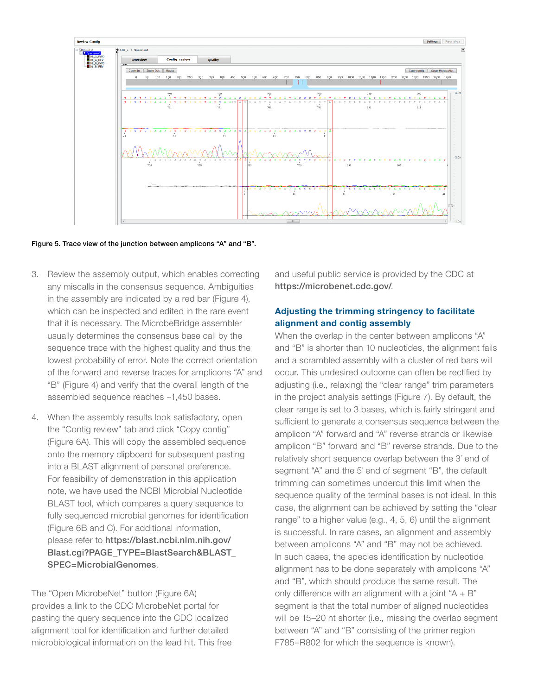

Figure 5. Trace view of the junction between amplicons "A" and "B".

- 3. Review the assembly output, which enables correcting any miscalls in the consensus sequence. Ambiguities in the assembly are indicated by a red bar (Figure 4), which can be inspected and edited in the rare event that it is necessary. The MicrobeBridge assembler usually determines the consensus base call by the sequence trace with the highest quality and thus the lowest probability of error. Note the correct orientation of the forward and reverse traces for amplicons "A" and "B" (Figure 4) and verify that the overall length of the assembled sequence reaches ~1,450 bases.
- 4. When the assembly results look satisfactory, open the "Contig review" tab and click "Copy contig" (Figure 6A). This will copy the assembled sequence onto the memory clipboard for subsequent pasting into a BLAST alignment of personal preference. For feasibility of demonstration in this application note, we have used the NCBI Microbial Nucleotide BLAST tool, which compares a query sequence to fully sequenced microbial genomes for identification (Figure 6B and C). For additional information, please refer to [https://blast.ncbi.nlm.nih.gov/](https://blast.ncbi.nlm.nih.gov/Blast.cgi?PAGE_TYPE=BlastSearch&BLAST_SPEC=MicrobialGenomes) [Blast.cgi?PAGE\\_TYPE=BlastSearch&BLAST\\_](https://blast.ncbi.nlm.nih.gov/Blast.cgi?PAGE_TYPE=BlastSearch&BLAST_SPEC=MicrobialGenomes) [SPEC=MicrobialGenomes](https://blast.ncbi.nlm.nih.gov/Blast.cgi?PAGE_TYPE=BlastSearch&BLAST_SPEC=MicrobialGenomes).

The "Open MicrobeNet" button (Figure 6A) provides a link to the CDC MicrobeNet portal for pasting the query sequence into the CDC localized alignment tool for identification and further detailed microbiological information on the lead hit. This free and useful public service is provided by the CDC at <https://microbenet.cdc.gov/>.

#### Adjusting the trimming stringency to facilitate alignment and contig assembly

When the overlap in the center between amplicons "A" and "B" is shorter than 10 nucleotides, the alignment fails and a scrambled assembly with a cluster of red bars will occur. This undesired outcome can often be rectified by adjusting (i.e., relaxing) the "clear range" trim parameters in the project analysis settings (Figure 7). By default, the clear range is set to 3 bases, which is fairly stringent and sufficient to generate a consensus sequence between the amplicon "A" forward and "A" reverse strands or likewise amplicon "B" forward and "B" reverse strands. Due to the relatively short sequence overlap between the 3' end of segment "A" and the 5' end of segment "B", the default trimming can sometimes undercut this limit when the sequence quality of the terminal bases is not ideal. In this case, the alignment can be achieved by setting the "clear range" to a higher value (e.g., 4, 5, 6) until the alignment is successful. In rare cases, an alignment and assembly between amplicons "A" and "B" may not be achieved. In such cases, the species identification by nucleotide alignment has to be done separately with amplicons "A" and "B", which should produce the same result. The only difference with an alignment with a joint " $A + B$ " segment is that the total number of aligned nucleotides will be 15–20 nt shorter (i.e., missing the overlap segment between "A" and "B" consisting of the primer region F785–R802 for which the sequence is known).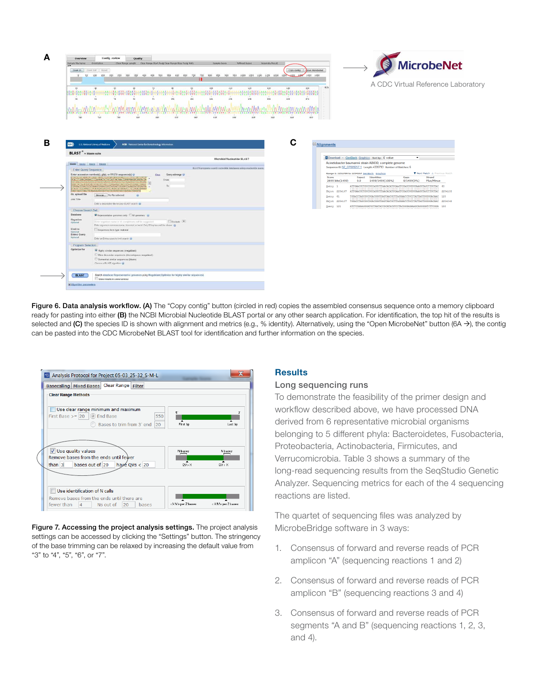| Sample File Name: Orientation                                                                                                                                                                                                        | Contig review<br>Quality<br>Clear Range Length Clear Range Start Post Clear Range Stop Posit %NS<br>Sample Score<br>MARked Bases<br>Assembly Pasult                                                                                                          |                                                                                   |
|--------------------------------------------------------------------------------------------------------------------------------------------------------------------------------------------------------------------------------------|--------------------------------------------------------------------------------------------------------------------------------------------------------------------------------------------------------------------------------------------------------------|-----------------------------------------------------------------------------------|
| Zoom in Zoom Out Reset                                                                                                                                                                                                               | Copy contig                                                                                                                                                                                                                                                  | <b>MicrobeNet</b><br>Doen MicrobeNet                                              |
| $\Omega$                                                                                                                                                                                                                             | 50 100 150 200 250 300 350 400 450<br>550 600 650 700<br>750<br>900 950 900<br>950 1000 1050 1100 1150 1200<br>500                                                                                                                                           | 1300 1388<br>1400 1450                                                            |
|                                                                                                                                                                                                                                      |                                                                                                                                                                                                                                                              | A CDC Virtual Reference Laboratory                                                |
| $-10$                                                                                                                                                                                                                                | 100<br>110<br>120<br>130<br>$-90$                                                                                                                                                                                                                            | $-4.0x$<br>150                                                                    |
| 31                                                                                                                                                                                                                                   | CAT   CAA   TC   A   CON   NORAG   TA   CTT   CTACTN   ACCTARCO   CON   BOA   TO   TO   TAAT NOT   CATCO   COTATTA   TO   NO   CASA   CONTARATA   CO   CATAC   CATAC   TCCTAC<br>1.41<br>151<br>161<br>$-6.5$<br>21<br>101<br>111<br>121<br>131<br>0.5<br>41 | 172                                                                               |
|                                                                                                                                                                                                                                      |                                                                                                                                                                                                                                                              |                                                                                   |
|                                                                                                                                                                                                                                      | <b>WWWW</b>                                                                                                                                                                                                                                                  |                                                                                   |
|                                                                                                                                                                                                                                      | CATICAA STC 0 A 1 C 0 11 1 1 3 A 0 TTA SCTT 1 CTACTA CCC EAC 0 3 A C 1 0 1 TO A 1 TA 3 TO CTACT 1 1 2 A C C TO TO TO 1 0 A CATACT C CAA A 1 0 A T 0 C TAXTACC 1 CATACC TC C ATACC TC C FAC                                                                   |                                                                                   |
| 729                                                                                                                                                                                                                                  | 719<br>679<br>669<br>642.<br>C19<br>709<br>650<br>609<br>659<br>623<br>619                                                                                                                                                                                   | 609                                                                               |
|                                                                                                                                                                                                                                      |                                                                                                                                                                                                                                                              |                                                                                   |
|                                                                                                                                                                                                                                      |                                                                                                                                                                                                                                                              |                                                                                   |
|                                                                                                                                                                                                                                      |                                                                                                                                                                                                                                                              |                                                                                   |
|                                                                                                                                                                                                                                      |                                                                                                                                                                                                                                                              |                                                                                   |
| NH <sub>&gt;</sub>                                                                                                                                                                                                                   | U.S. National Library of Medicine<br>NCBI National Center for Biotechnology Information                                                                                                                                                                      | $\Theta$ Alignments                                                               |
| <b>BLAST</b> <sup>®</sup> » blastn suite                                                                                                                                                                                             |                                                                                                                                                                                                                                                              |                                                                                   |
|                                                                                                                                                                                                                                      | Microbial Nucleotide BLAST                                                                                                                                                                                                                                   | <b>EDownload ~ GenBank Graphics Sort by: E value</b><br>$\blacktriangledown$      |
|                                                                                                                                                                                                                                      |                                                                                                                                                                                                                                                              |                                                                                   |
|                                                                                                                                                                                                                                      |                                                                                                                                                                                                                                                              | Acinetobacter baumannii strain AB030, complete genome                             |
| bleste blaste blastz thissto                                                                                                                                                                                                         | BLASTN programs search nucleotide databases using a nucleotide query.                                                                                                                                                                                        | Sequence ID: NZ_CP009257.1 Length: 4335793 Number of Matches: 6                   |
| Enter Quary Sequence                                                                                                                                                                                                                 | Enter accession number(s), gi(s), or FASTA sequence(s) @<br>Query subrange @<br>Clear.                                                                                                                                                                       | V Next Match & Previous Match<br>Range 1: 2252709 to 2254167 GenBank Graphics     |
| <b>Program to the control of the control of the control of the control of the control of the control of the control of the control of the control of the control of the control of the control of the control of the control of </b> | The way to start the way<br>SCATTICSGATGGGAACTTTAAGGATACTGCCAGTGACAACTGGAGGAAGGCGGGGAACGA<br>From                                                                                                                                                            | <b>Expect</b> Identities<br>Gaps<br>Strand<br>Score                               |
|                                                                                                                                                                                                                                      | SEIGCTADACAGOSATGTSAIGCTAAICTCAAAAGOSSATGSIAGTODSGATTBGAGI<br>To:                                                                                                                                                                                            | 1459/1459(100%)<br>0/1459(0%)<br>Plus/Minus<br>2695 bits (1459)<br>0.0            |
|                                                                                                                                                                                                                                      | CTSCAACTCSACTCCATGAASTCGGAATCGCTAGTAATCSCGGATCAGAATSCCGCSSTGA<br>STACACAODESDOFTCACACCATGPPAGTTTGTTGCACCAGAAG<br>TARTARTTAATTRAARARRATTATEKTRISTERI DATATTRIKIN                                                                                              | ATTGAACGCTGGCGGCAGGCTTAACACATGCAAGTCGAGCGGGGGAAGGTAGCTTGCTAC 60<br>Query 1        |
| Or, upload file                                                                                                                                                                                                                      | Growse No file selected.<br>$\overline{a}$                                                                                                                                                                                                                   | Sbict 2254167 ATTGAACGCTGGCGGCAGGCTTAACACATGCAAGTCGAGCGGGGAAGGTAGCTTGCTAC 2254108 |
| Job Title                                                                                                                                                                                                                            |                                                                                                                                                                                                                                                              | Query 61<br>Sbict 2254107                                                         |
|                                                                                                                                                                                                                                      | Enter a descriptive title for your BLAST search.                                                                                                                                                                                                             | ATCTCGAAAGGGATGCTAATACCGCATACGTCCTACGGGAGAAAGCAGGGGATCTTCGGA 180<br>Query 121     |
| Choose Search Set                                                                                                                                                                                                                    |                                                                                                                                                                                                                                                              |                                                                                   |
| Database                                                                                                                                                                                                                             | C Representative generies only CAI genomics 64                                                                                                                                                                                                               |                                                                                   |
| Organism<br>Optional                                                                                                                                                                                                                 | $Fxclude$ <sup>+</sup><br>Enter organism name or id-completions will be suggested                                                                                                                                                                            |                                                                                   |
|                                                                                                                                                                                                                                      | Enter organism common name, binomial, or bacid Only 20 top faxa will be shown                                                                                                                                                                                |                                                                                   |
| Limit to<br>Ontional                                                                                                                                                                                                                 | Sequences from type material                                                                                                                                                                                                                                 |                                                                                   |
| Entrez Query<br>Optional                                                                                                                                                                                                             |                                                                                                                                                                                                                                                              |                                                                                   |
|                                                                                                                                                                                                                                      | Enter an Entrez query to limit search &                                                                                                                                                                                                                      |                                                                                   |
| Program Selection                                                                                                                                                                                                                    |                                                                                                                                                                                                                                                              |                                                                                   |
| Optimize for                                                                                                                                                                                                                         | <sup>(a)</sup> Highly similar sequences (megablast)                                                                                                                                                                                                          |                                                                                   |
|                                                                                                                                                                                                                                      | More dissimilar sequences (discontiguous megablast)<br>Somewhat similar sequences (blastn)                                                                                                                                                                   |                                                                                   |

Figure 6. Data analysis workflow. (A) The "Copy contig" button (circled in red) copies the assembled consensus sequence onto a memory clipboard ready for pasting into either (B) the NCBI Microbial Nucleotide BLAST portal or any other search application. For identification, the top hit of the results is selected and (C) the species ID is shown with alignment and metrics (e.g., % identity). Alternatively, using the "Open MicrobeNet" button (6A  $\rightarrow$ ), the contig can be pasted into the CDC MicrobeNet BLAST tool for identification and further information on the species.

| Analysis Protocol for Project 05-03_25-32_S-M-L  |                          |                |
|--------------------------------------------------|--------------------------|----------------|
| Basecalling   Mixed Bases   Clear Range   Filter |                          |                |
| <b>Clear Range Methods</b>                       |                          |                |
|                                                  |                          |                |
| Use clear range minimum and maximum              | 5                        | x              |
| First Base $>=[20 \ (9)$ End Base<br>550         |                          |                |
| Bases to trim from 3' end<br>20                  | First bp                 | Last bp        |
|                                                  |                          |                |
|                                                  |                          |                |
|                                                  |                          |                |
|                                                  |                          |                |
| V Use quality values                             | N bases                  | <b>N</b> bases |
| Remove bases from the ends until fewer           | $\overline{\phantom{a}}$ |                |
| than 3<br>bases out of 20<br>hayé QVs < $20$     | QV > X                   | QV > X         |
|                                                  |                          |                |
|                                                  |                          |                |
| Use identification of N calls                    |                          |                |
| Remove bases from the ends until there are       |                          |                |

mes using Megablast (Optimize for highly similar sequer

**BLAST** Search database Representative get

Figure 7. Accessing the project analysis settings. The project analysis settings can be accessed by clicking the "Settings" button. The stringency of the base trimming can be relaxed by increasing the default value from "3" to "4", "5", "6", or "7".

#### **Results**

#### Long sequencing runs

To demonstrate the feasibility of the primer design and workflow described above, we have processed DNA derived from 6 representative microbial organisms belonging to 5 different phyla: Bacteroidetes, Fusobacteria, Proteobacteria, Actinobacteria, Firmicutes, and Verrucomicrobia. Table 3 shows a summary of the long-read sequencing results from the SeqStudio Genetic Analyzer. Sequencing metrics for each of the 4 sequencing reactions are listed.

The quartet of sequencing files was analyzed by MicrobeBridge software in 3 ways:

- 1. Consensus of forward and reverse reads of PCR amplicon "A" (sequencing reactions 1 and 2)
- 2. Consensus of forward and reverse reads of PCR amplicon "B" (sequencing reactions 3 and 4)
- 3. Consensus of forward and reverse reads of PCR segments "A and B" (sequencing reactions 1, 2, 3, and 4).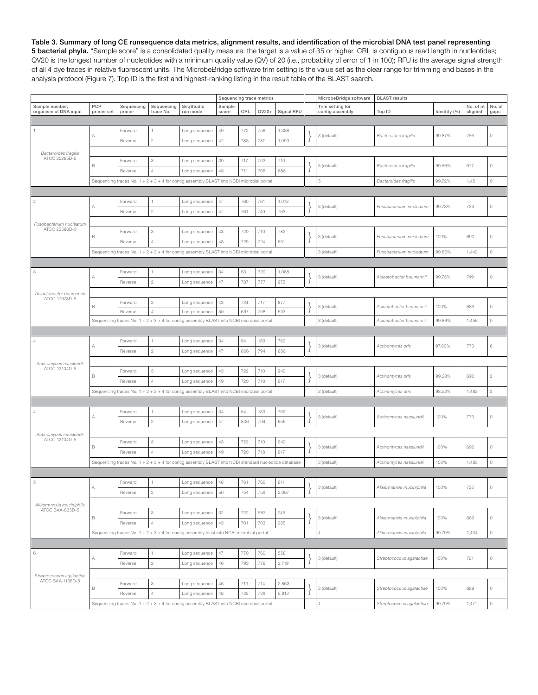Table 3. Summary of long CE runsequence data metrics, alignment results, and identification of the microbial DNA test panel representing 5 bacterial phyla. "Sample score" is a consolidated quality measure: the target is a value of 35 or higher. CRL is contiguous read length in nucleotides; QV20 is the longest number of nucleotides with a minimum quality value (QV) of 20 (i.e., probability of error of 1 in 100); RFU is the average signal strength of all 4 dye traces in relative fluorescent units. The MicrobeBridge software trim setting is the value set as the clear range for trimming end bases in the analysis protocol (Figure 7). Top ID is the first and highest-ranking listing in the result table of the BLAST search.

|                                              |                   |                                                                                                      |                           |                                                                                            | Sequencing trace metrics |     |         |            | MicrobeBridge software | <b>BLAST</b> results                |                             |              |                      |                |
|----------------------------------------------|-------------------|------------------------------------------------------------------------------------------------------|---------------------------|--------------------------------------------------------------------------------------------|--------------------------|-----|---------|------------|------------------------|-------------------------------------|-----------------------------|--------------|----------------------|----------------|
| Sample number,<br>organism of DNA input      | PCR<br>primer set | Sequencing<br>primer                                                                                 | Sequencing<br>trace No.   | SeqStudio<br>run mode                                                                      | Sample<br>score          | CRL | $QV20+$ | Signal RFU |                        | Trim setting for<br>contig assembly | Top ID                      | Identity (%) | No. of nt<br>aligned | No. of<br>gaps |
|                                              |                   |                                                                                                      |                           |                                                                                            |                          |     |         |            |                        |                                     |                             |              |                      |                |
|                                              |                   | Forward                                                                                              |                           | Long sequence                                                                              | 49                       | 772 | 756     | 1,388      |                        |                                     |                             |              |                      |                |
|                                              | А                 | Reverse                                                                                              | $\overline{c}$            | Long sequence                                                                              | 47                       | 783 | 780     | 1,099      |                        | 3 (default)                         | <b>Bacteroides fragilis</b> | 99.87%       | 756                  | $\circ$        |
|                                              |                   |                                                                                                      |                           |                                                                                            |                          |     |         |            |                        |                                     |                             |              |                      |                |
| <b>Bacteroides fragilis</b><br>ATCC 25285D-5 |                   | Forward                                                                                              | $\ensuremath{\mathsf{3}}$ | Long sequence                                                                              | 39                       | 717 | 703     | 710        |                        |                                     |                             |              |                      |                |
|                                              | В                 | Reverse                                                                                              | $\overline{4}$            | Long sequence                                                                              | 43                       | 711 | 705     | 688        |                        | 3 (default)                         | <b>Bacteroides fragilis</b> | 99.56%       | 677                  | $\circ$        |
|                                              |                   |                                                                                                      |                           | Sequencing traces No. 1 + 2 + 3 + 4 for contig assembly BLAST into NCBI microbial portal   |                          |     |         |            |                        | 5                                   |                             |              |                      | $\circ$        |
|                                              |                   |                                                                                                      |                           |                                                                                            |                          |     |         |            |                        |                                     | <b>Bacteroides fragilis</b> | 99.72%       | 1,451                |                |
|                                              |                   |                                                                                                      |                           |                                                                                            |                          |     |         |            |                        |                                     |                             |              |                      |                |
| $\sqrt{2}$                                   | Α                 | Forward                                                                                              |                           | Long sequence                                                                              | 47                       | 760 | 761     | 1,012      |                        | 3 (default)                         | Fusobacterium nucleatum     | 99.73%       | 734                  | $\circ$        |
|                                              |                   | Reverse                                                                                              | $\overline{c}$            | Long sequence                                                                              | 47                       | 761 | 749     | 763        |                        |                                     |                             |              |                      |                |
| Fusobacterium nucleatum                      |                   |                                                                                                      |                           |                                                                                            |                          |     |         |            |                        |                                     |                             |              |                      |                |
| ATCC 25586D-5                                |                   | Forward                                                                                              | $\ensuremath{\mathsf{3}}$ | Long sequence                                                                              | 43                       | 720 | 710     | 782        |                        |                                     |                             |              |                      |                |
|                                              | В                 | Reverse                                                                                              | $\overline{4}$            | Long sequence                                                                              | 48                       | 729 | 724     | 551        |                        | 3 (default)                         | Fusobacterium nucleatum     | 100%         | 690                  | $\circ$        |
|                                              |                   |                                                                                                      |                           | Sequencing traces No. $1 + 2 + 3 + 4$ for contig assembly BLAST into NCBI microbial portal |                          |     |         |            |                        | 3 (default)                         | Fusobacterium nucleatum     | 99.86%       | 1,442                | $\circ$        |
|                                              |                   |                                                                                                      |                           |                                                                                            |                          |     |         |            |                        |                                     |                             |              |                      |                |
| 3                                            |                   | Forward                                                                                              |                           | Long sequence                                                                              | 34                       | 53  | 329     | 1,088      |                        |                                     |                             |              |                      |                |
|                                              | А                 |                                                                                                      | $\overline{c}$            |                                                                                            |                          |     |         |            |                        | 3 (default)                         | Acinetobacter baumannii     | 99.73%       | 749                  | $\circ$        |
|                                              |                   | Reverse                                                                                              |                           | Long sequence                                                                              | 47                       | 787 | 777     | 975        |                        |                                     |                             |              |                      |                |
| Acinetobacter baumannii<br>ATCC 17978D-5     |                   |                                                                                                      |                           |                                                                                            |                          |     |         |            |                        |                                     |                             |              |                      |                |
|                                              | В                 | Forward                                                                                              | 3                         | Long sequence                                                                              | 43                       | 724 | 717     | 877        |                        | 3 (default)                         | Acinetobacter baumannii     | 100%         | 689                  | $\circ$        |
|                                              |                   | Reverse                                                                                              | $\overline{4}$            | Long sequence                                                                              | 50                       | 697 | 708     | 533        |                        |                                     |                             |              |                      |                |
|                                              |                   |                                                                                                      |                           | Sequencing traces No. 1 + 2 + 3 + 4 for contig assembly BLAST into NCBI microbial portal   |                          |     |         |            |                        | 3 (default)                         | Acinetobacter baumannii     | 99.86%       | 1,456                | $\circ$        |
|                                              |                   |                                                                                                      |                           |                                                                                            |                          |     |         |            |                        |                                     |                             |              |                      |                |
|                                              | Α                 | Forward                                                                                              |                           | Long sequence                                                                              | 34                       | 54  | 133     | 762        |                        | 3 (default)                         | Actinomyces oris            | 97.80%       | 773                  | 6              |
|                                              |                   | Reverse                                                                                              | $\overline{c}$            | Long sequence                                                                              | 47                       | 806 | 794     | 656        |                        |                                     |                             |              |                      |                |
| Actinomyces naeslundii                       |                   |                                                                                                      |                           |                                                                                            |                          |     |         |            |                        |                                     |                             |              |                      |                |
| ATCC 12104D-5                                |                   | Forward                                                                                              | $\ensuremath{\mathsf{3}}$ | Long sequence                                                                              | 43                       | 722 | 710     | 942        |                        | 3 (default)                         | Actinomyces oris            | 99.28%       |                      |                |
|                                              | В                 | Reverse                                                                                              | $\overline{4}$            | Long sequence                                                                              | 49                       | 720 | 718     | 617        |                        |                                     |                             |              | 692                  | $\overline{c}$ |
|                                              |                   |                                                                                                      |                           | Sequencing traces No. $1 + 2 + 3 + 4$ for contig assembly BLAST into NCBI microbial portal |                          |     |         |            |                        | 3 (default)                         | Actinomyces oris            | 98.52%       | 1,483                | 3              |
|                                              |                   |                                                                                                      |                           |                                                                                            |                          |     |         |            |                        |                                     |                             |              |                      |                |
|                                              |                   |                                                                                                      |                           |                                                                                            |                          |     |         |            |                        |                                     |                             |              |                      |                |
| 4                                            | Α                 | Forward                                                                                              |                           | Long sequence                                                                              | 34                       | 54  | 133     | 762        |                        | 3 (default)                         | Actinomyces naeslundii      | 100%         | 773                  | $\circ$        |
|                                              |                   | Reverse                                                                                              | $\overline{c}$            | Long sequence                                                                              | 47                       | 806 | 794     | 656        |                        |                                     |                             |              |                      |                |
| Actinomyces naeslundii                       |                   |                                                                                                      |                           |                                                                                            |                          |     |         |            |                        |                                     |                             |              |                      |                |
| ATCC 12104D-5                                | В                 | Forward                                                                                              | 3                         | Long sequence                                                                              | 43                       | 722 | 710     | 942        |                        | 3 (default)                         | Actinomyces naeslundii      | 100%         | 692                  | $\circ$        |
|                                              |                   | Reverse                                                                                              | $\overline{4}$            | Long sequence                                                                              | 49                       | 720 | 718     | 617        |                        |                                     |                             |              |                      |                |
|                                              |                   | Sequencing traces No. 1 + 2 + 3 + 4 for contig assembly BLAST into NCBI standard nucleotide database |                           |                                                                                            |                          |     |         |            |                        | 3 (default)                         | Actinomyces naeslundii      | 100%         | 1,483                | $\circ$        |
|                                              |                   |                                                                                                      |                           |                                                                                            |                          |     |         |            |                        |                                     |                             |              |                      |                |
| 5                                            |                   | Forward                                                                                              |                           | Long sequence                                                                              | 48                       | 761 | 760     | 611        |                        |                                     |                             |              |                      |                |
|                                              |                   | Reverse                                                                                              | $\sqrt{2}$                | Long sequence                                                                              | $50\,$                   | 754 | 759     | 2,067      | ı                      | 3 (default)                         | Akkermansia muciniphila     | 100%         | 725                  | $\cap$         |
|                                              |                   |                                                                                                      |                           |                                                                                            |                          |     |         |            |                        |                                     |                             |              |                      |                |
| Akkermansia muciniphila<br>ATCC BAA-835D-5   |                   |                                                                                                      | 3                         |                                                                                            |                          |     |         |            |                        |                                     |                             |              |                      |                |
|                                              | В                 | Forward                                                                                              |                           | Long sequence                                                                              | 32                       | 722 | 683     | 245        |                        | 3 (default)                         | Akkermansia muciniphila     | 100%         | 689                  | $\circ$        |
|                                              |                   | Reverse                                                                                              | $\overline{4}$            | Long sequence                                                                              | 43                       | 701 | 703     | 285        |                        |                                     |                             |              |                      |                |
|                                              |                   |                                                                                                      |                           | Sequencing traces No. $1 + 2 + 3 + 4$ for contig assembly blast into NCBI microbial portal |                          |     |         |            |                        | $\overline{4}$                      | Akkermansia muciniphila     | 99.79%       | 1,434                | $\circ$        |
|                                              |                   |                                                                                                      |                           |                                                                                            |                          |     |         |            |                        |                                     |                             |              |                      |                |
| $_{\rm 6}$                                   |                   | Forward                                                                                              |                           | Long sequence                                                                              | $47\,$                   | 770 | 760     | 558        |                        |                                     |                             |              |                      |                |
|                                              | А                 | Reverse                                                                                              | $\overline{c}$            | Long sequence                                                                              | 46                       | 793 | 776     | 2,719      |                        | 3 (default)                         | Streptococcus agalactiae    | 100%         | 761                  | $\circ$        |
| Streptococcus agalactiae                     |                   |                                                                                                      |                           |                                                                                            |                          |     |         |            |                        |                                     |                             |              |                      |                |
| ATCC BAA-1138D-5                             |                   | Forward                                                                                              | 3                         | Long sequence                                                                              | 46                       | 719 | 714     | 2,863      |                        |                                     |                             |              |                      |                |
|                                              | B                 | Reverse                                                                                              | $\overline{4}$            | Long sequence                                                                              | 48                       | 725 | 729     | 5,812      |                        | 3 (default)                         | Streptococcus agalactiae    | 100%         | 689                  | $\circ$        |
|                                              |                   |                                                                                                      |                           |                                                                                            |                          |     |         |            |                        | 4                                   |                             | 99.79%       |                      | $\circ$        |
|                                              |                   |                                                                                                      |                           | Sequencing traces No. 1 + 2 + 3 + 4 for contig assembly BLAST into NCBI microbial portal   |                          |     |         |            |                        |                                     | Streptococcus agalactiae    |              | 1,471                |                |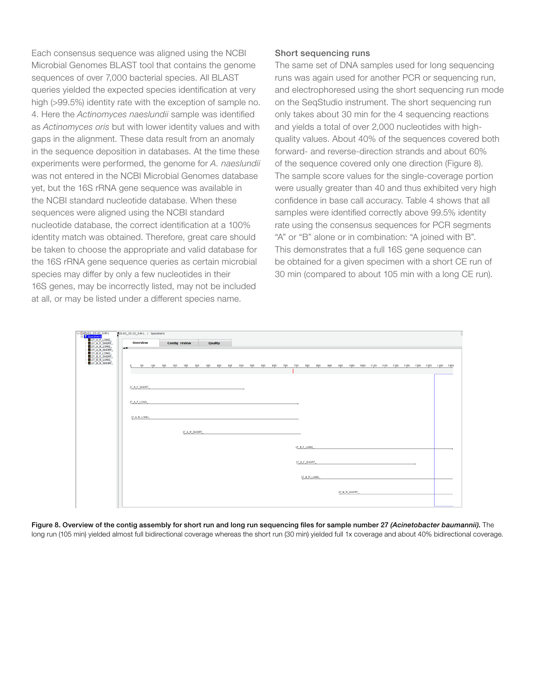Each consensus sequence was aligned using the NCBI Microbial Genomes BLAST tool that contains the genome sequences of over 7,000 bacterial species. All BLAST queries yielded the expected species identification at very high (>99.5%) identity rate with the exception of sample no. 4. Here the *Actinomyces naeslundii* sample was identified as *Actinomyces oris* but with lower identity values and with gaps in the alignment. These data result from an anomaly in the sequence deposition in databases. At the time these experiments were performed, the genome for *A. naeslundii*  was not entered in the NCBI Microbial Genomes database yet, but the 16S rRNA gene sequence was available in the NCBI standard nucleotide database. When these sequences were aligned using the NCBI standard nucleotide database, the correct identification at a 100% identity match was obtained. Therefore, great care should be taken to choose the appropriate and valid database for the 16S rRNA gene sequence queries as certain microbial species may differ by only a few nucleotides in their 16S genes, may be incorrectly listed, may not be included at all, or may be listed under a different species name.

#### Short sequencing runs

The same set of DNA samples used for long sequencing runs was again used for another PCR or sequencing run, and electrophoresed using the short sequencing run mode on the SeqStudio instrument. The short sequencing run only takes about 30 min for the 4 sequencing reactions and yields a total of over 2,000 nucleotides with highquality values. About 40% of the sequences covered both forward- and reverse-direction strands and about 60% of the sequence covered only one direction (Figure 8). The sample score values for the single-coverage portion were usually greater than 40 and thus exhibited very high confidence in base call accuracy. Table 4 shows that all samples were identified correctly above 99.5% identity rate using the consensus sequences for PCR segments "A" or "B" alone or in combination: "A joined with B". This demonstrates that a full 16S gene sequence can be obtained for a given specimen with a short CE run of 30 min (compared to about 105 min with a long CE run).



Figure 8. Overview of the contig assembly for short run and long run sequencing files for sample number 27 *(Acinetobacter baumannii)*. The long run (105 min) yielded almost full bidirectional coverage whereas the short run (30 min) yielded full 1x coverage and about 40% bidirectional coverage.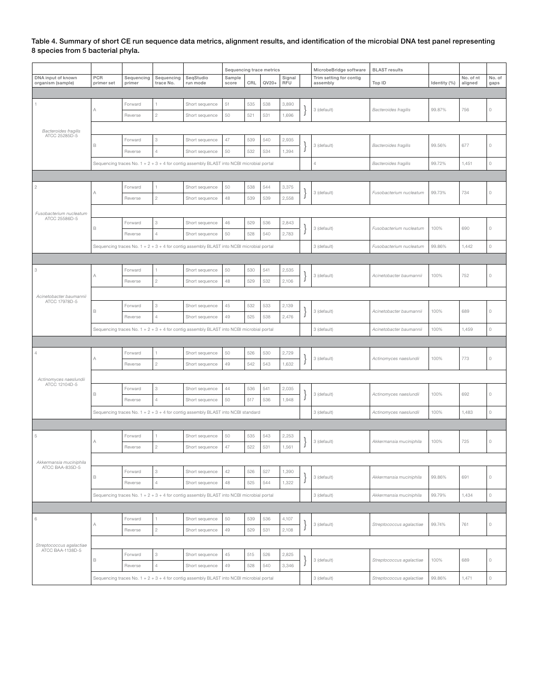Table 4. Summary of short CE run sequence data metrics, alignment results, and identification of the microbial DNA test panel representing 8 species from 5 bacterial phyla.

|                                                                                          |                          |                      |                           |                                                                                          | Sequencing trace metrics |     |         | MicrobeBridge software | <b>BLAST</b> results |                                     |                             |              |                      |                |
|------------------------------------------------------------------------------------------|--------------------------|----------------------|---------------------------|------------------------------------------------------------------------------------------|--------------------------|-----|---------|------------------------|----------------------|-------------------------------------|-----------------------------|--------------|----------------------|----------------|
| DNA input of known<br>organism (sample)                                                  | <b>PCR</b><br>primer set | Sequencing<br>primer | Sequencing<br>trace No.   | SeqStudio<br>run mode                                                                    | Sample<br>score          | CRL | $QV20+$ | Signal<br>RFU          |                      | Trim setting for contig<br>assembly | Top ID                      | Identity (%) | No. of nt<br>aligned | No. of<br>gaps |
|                                                                                          |                          |                      |                           |                                                                                          |                          |     |         |                        |                      |                                     |                             |              |                      |                |
|                                                                                          |                          | Forward              |                           | Short sequence                                                                           | 51                       | 535 | 538     | 3,890                  |                      | 3 (default)                         |                             |              |                      |                |
|                                                                                          | Α                        | Reverse              | $\sqrt{2}$                | Short sequence                                                                           | 50                       | 521 | 531     | 1,696                  |                      |                                     | <b>Bacteroides fragilis</b> | 99.87%       | 756                  | $\circ$        |
|                                                                                          |                          |                      |                           |                                                                                          |                          |     |         |                        |                      |                                     |                             |              |                      |                |
| <b>Bacteroides fragilis</b><br>ATCC 25285D-5                                             |                          | Forward              | 3                         | Short sequence                                                                           | $47\,$                   | 539 | 540     | 2,935                  |                      |                                     |                             |              |                      |                |
|                                                                                          | B                        | Reverse              | $\overline{4}$            | Short sequence                                                                           | 50                       | 532 | 534     | 1,394                  |                      | 3 (default)                         | <b>Bacteroides fragilis</b> | 99.56%       | 677                  | 0              |
|                                                                                          |                          |                      |                           |                                                                                          |                          |     |         |                        |                      | $\overline{4}$                      | <b>Bacteroides fragilis</b> | 99.72%       | 1,451                | $\circ$        |
| Sequencing traces No. 1 + 2 + 3 + 4 for contig assembly BLAST into NCBI microbial portal |                          |                      |                           |                                                                                          |                          |     |         |                        |                      |                                     |                             |              |                      |                |
| $\sqrt{2}$                                                                               |                          | Forward              | 1                         | Short sequence                                                                           | 50                       | 538 | 544     | 3,375                  |                      |                                     |                             |              |                      |                |
|                                                                                          | Α                        | Reverse              | $\overline{c}$            | Short sequence                                                                           | 48                       | 539 | 539     | 2,558                  |                      | 3 (default)                         | Fusobacterium nucleatum     | 99.73%       | 734                  | $\circ$        |
|                                                                                          |                          |                      |                           |                                                                                          |                          |     |         |                        |                      |                                     |                             |              |                      |                |
| Fusobacterium nucleatum<br>ATCC 25586D-5                                                 |                          |                      |                           |                                                                                          |                          |     |         |                        |                      |                                     |                             |              |                      |                |
|                                                                                          | B                        | Forward              | 3                         | Short sequence                                                                           | 46                       | 529 | 536     | 2,843                  |                      | 3 (default)                         | Fusobacterium nucleatum     | 100%         | 690                  | $\circ$        |
|                                                                                          |                          | Reverse              | 4                         | Short sequence                                                                           | 50                       | 528 | 540     | 2,783                  |                      |                                     |                             |              |                      |                |
|                                                                                          |                          |                      |                           | Sequencing traces No. 1 + 2 + 3 + 4 for contig assembly BLAST into NCBI microbial portal |                          |     |         |                        |                      | 3 (default)                         | Fusobacterium nucleatum     | 99.86%       | 1,442                | $\circ$        |
|                                                                                          |                          |                      |                           |                                                                                          |                          |     |         |                        |                      |                                     |                             |              |                      |                |
| $\ensuremath{\mathsf{3}}$                                                                | А                        | Forward              |                           | Short sequence                                                                           | 50                       | 530 | 541     | 2,535                  |                      | 3 (default)                         | Acinetobacter baumannii     | 100%         | 752                  | $\circ$        |
|                                                                                          |                          | Reverse              | $\,2$                     | Short sequence                                                                           | 48                       | 529 | 532     | 2,106                  |                      |                                     |                             |              |                      |                |
| Acinetobacter baumannii<br>ATCC 17978D-5                                                 |                          |                      |                           |                                                                                          |                          |     |         |                        |                      |                                     |                             |              |                      |                |
|                                                                                          | B                        | Forward              | 3                         | Short sequence                                                                           | $45\,$                   | 532 | 533     | 2,139                  |                      | 3 (default)                         | Acinetobacter baumannii     | 100%         | 689                  | $\circ$        |
|                                                                                          |                          | Reverse              | $\overline{4}$            | Short sequence                                                                           | 49                       | 525 | 538     | 2,476                  |                      |                                     |                             |              |                      |                |
|                                                                                          |                          |                      |                           | Sequencing traces No. 1 + 2 + 3 + 4 for contig assembly BLAST into NCBI microbial portal |                          |     |         |                        |                      | 3 (default)                         | Acinetobacter baumannii     | 100%         | 1,459                | 0              |
|                                                                                          |                          |                      |                           |                                                                                          |                          |     |         |                        |                      |                                     |                             |              |                      |                |
| $\overline{4}$                                                                           |                          | Forward              |                           | Short sequence                                                                           | 50                       | 526 | 530     | 2,729                  |                      | 3 (default)                         | Actinomyces naeslundii      | 100%         | 773                  |                |
|                                                                                          | Α                        | Reverse              | $\,2$                     | Short sequence                                                                           | 49                       | 542 | 543     | 1,632                  |                      |                                     |                             |              |                      | 0              |
| Actinomyces naeslundii                                                                   |                          |                      |                           |                                                                                          |                          |     |         |                        |                      |                                     |                             |              |                      |                |
| ATCC 12104D-5                                                                            |                          | Forward              | $\ensuremath{\mathsf{3}}$ | Short sequence                                                                           | $44\,$                   | 536 | 541     | 2,035                  |                      |                                     | Actinomyces naeslundii      |              | 692                  |                |
|                                                                                          | B                        | Reverse              | $\overline{4}$            | Short sequence                                                                           | 50                       | 517 | 536     | 1,948                  |                      | 3 (default)                         |                             | 100%         |                      | $\circ$        |
|                                                                                          |                          |                      |                           | Sequencing traces No. 1 + 2 + 3 + 4 for contig assembly BLAST into NCBI standard         |                          |     |         |                        |                      | 3 (default)                         | Actinomyces naeslundii      | 100%         | 1,483                | $\circ$        |
|                                                                                          |                          |                      |                           |                                                                                          |                          |     |         |                        |                      |                                     |                             |              |                      |                |
| $\,$ 5                                                                                   |                          | Forward              |                           | Short sequence                                                                           | 50                       | 535 | 543     | 2,253                  |                      |                                     |                             |              |                      |                |
|                                                                                          | Α                        | Reverse              | $\overline{c}$            | Short sequence                                                                           | 47                       | 522 | 531     | 1,561                  |                      | 3 (default)                         | Akkermansia muciniphila     | 100%         | 725                  | $\circ$        |
|                                                                                          |                          |                      |                           |                                                                                          |                          |     |         |                        |                      |                                     |                             |              |                      |                |
| Akkermansia muciniphila<br>ATCC BAA-835D-5                                               |                          | Forward              | 3                         | Short sequence                                                                           | 42                       | 526 | 527     | 1,390                  |                      |                                     |                             |              |                      |                |
|                                                                                          | B                        | Reverse              | $\overline{4}$            | Short sequence                                                                           | 48                       | 525 | 544     | 1,322                  |                      | 3 (default)                         | Akkermansia muciniphila     | 99.86%       | 691                  | $\circ$        |
|                                                                                          |                          |                      |                           | Sequencing traces No. 1 + 2 + 3 + 4 for contig assembly BLAST into NCBI microbial portal |                          |     |         |                        |                      | 3 (default)                         | Akkermansia muciniphila     | 99.79%       | 1,434                | $\circ$        |
|                                                                                          |                          |                      |                           |                                                                                          |                          |     |         |                        |                      |                                     |                             |              |                      |                |
| $\,6\,$                                                                                  |                          | Forward              | 1                         | Short sequence                                                                           | 50                       | 539 | 536     | 4,107                  |                      |                                     |                             |              |                      |                |
|                                                                                          | Α                        | Reverse              | $\overline{c}$            | Short sequence                                                                           | 49                       | 529 | 531     | 2,108                  |                      | 3 (default)                         | Streptococcus agalactiae    | 99.74%       | 761                  | 0              |
|                                                                                          |                          |                      |                           |                                                                                          |                          |     |         |                        |                      |                                     |                             |              |                      |                |
| Streptococcus agalactiae<br>ATCC BAA-1138D-5                                             |                          |                      |                           |                                                                                          |                          |     |         |                        |                      |                                     |                             |              |                      |                |
|                                                                                          | B                        | Forward              | 3                         | Short sequence                                                                           | $45\,$                   | 515 | 526     | 2,825                  |                      | 3 (default)                         | Streptococcus agalactiae    | 100%         | 689                  | $\circ$        |
|                                                                                          |                          | Reverse              | $\sqrt{4}$                | Short sequence                                                                           | 49                       | 528 | 540     | 3,346                  |                      |                                     |                             |              |                      |                |
|                                                                                          |                          |                      |                           | Sequencing traces No. 1 + 2 + 3 + 4 for contig assembly BLAST into NCBI microbial portal |                          |     |         |                        |                      | 3 (default)                         | Streptococcus agalactiae    | 99.86%       | 1,471                | $\circ$        |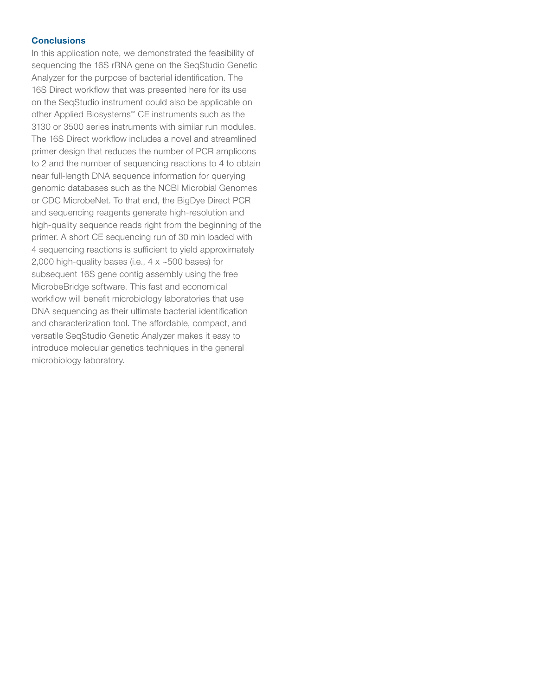#### **Conclusions**

In this application note, we demonstrated the feasibility of sequencing the 16S rRNA gene on the SeqStudio Genetic Analyzer for the purpose of bacterial identification. The 16S Direct workflow that was presented here for its use on the SeqStudio instrument could also be applicable on other Applied Biosystems™ CE instruments such as the 3130 or 3500 series instruments with similar run modules. The 16S Direct workflow includes a novel and streamlined primer design that reduces the number of PCR amplicons to 2 and the number of sequencing reactions to 4 to obtain near full-length DNA sequence information for querying genomic databases such as the NCBI Microbial Genomes or CDC MicrobeNet. To that end, the BigDye Direct PCR and sequencing reagents generate high-resolution and high-quality sequence reads right from the beginning of the primer. A short CE sequencing run of 30 min loaded with 4 sequencing reactions is sufficient to yield approximately 2,000 high-quality bases (i.e.,  $4 \times 500$  bases) for subsequent 16S gene contig assembly using the free MicrobeBridge software. This fast and economical workflow will benefit microbiology laboratories that use DNA sequencing as their ultimate bacterial identification and characterization tool. The affordable, compact, and versatile SeqStudio Genetic Analyzer makes it easy to introduce molecular genetics techniques in the general microbiology laboratory.